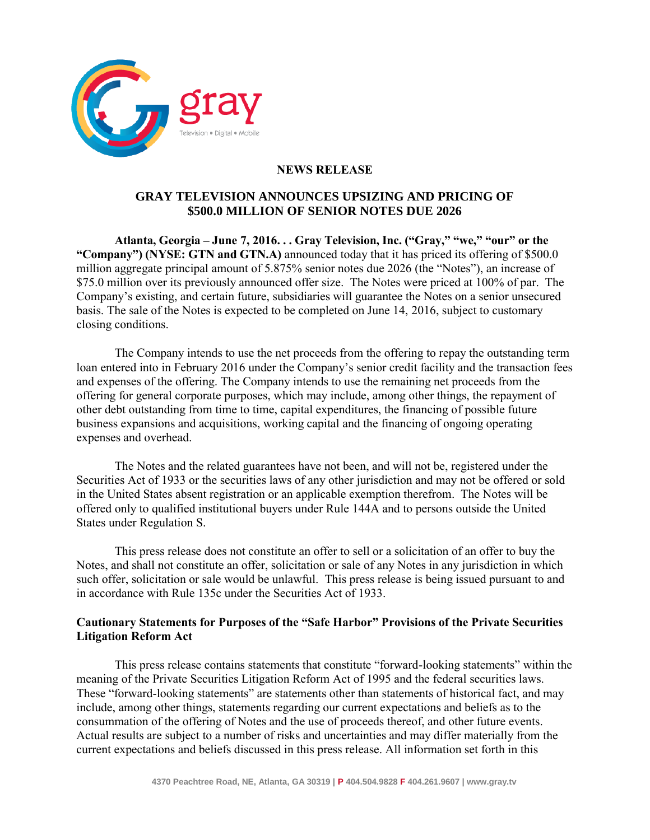

## **NEWS RELEASE**

## **GRAY TELEVISION ANNOUNCES UPSIZING AND PRICING OF \$500.0 MILLION OF SENIOR NOTES DUE 2026**

**Atlanta, Georgia – June 7, 2016. . . Gray Television, Inc. ("Gray," "we," "our" or the "Company") (NYSE: GTN and GTN.A)** announced today that it has priced its offering of \$500.0 million aggregate principal amount of 5.875% senior notes due 2026 (the "Notes"), an increase of \$75.0 million over its previously announced offer size. The Notes were priced at 100% of par. The Company's existing, and certain future, subsidiaries will guarantee the Notes on a senior unsecured basis. The sale of the Notes is expected to be completed on June 14, 2016, subject to customary closing conditions.

The Company intends to use the net proceeds from the offering to repay the outstanding term loan entered into in February 2016 under the Company's senior credit facility and the transaction fees and expenses of the offering. The Company intends to use the remaining net proceeds from the offering for general corporate purposes, which may include, among other things, the repayment of other debt outstanding from time to time, capital expenditures, the financing of possible future business expansions and acquisitions, working capital and the financing of ongoing operating expenses and overhead.

The Notes and the related guarantees have not been, and will not be, registered under the Securities Act of 1933 or the securities laws of any other jurisdiction and may not be offered or sold in the United States absent registration or an applicable exemption therefrom. The Notes will be offered only to qualified institutional buyers under Rule 144A and to persons outside the United States under Regulation S.

This press release does not constitute an offer to sell or a solicitation of an offer to buy the Notes, and shall not constitute an offer, solicitation or sale of any Notes in any jurisdiction in which such offer, solicitation or sale would be unlawful. This press release is being issued pursuant to and in accordance with Rule 135c under the Securities Act of 1933.

## **Cautionary Statements for Purposes of the "Safe Harbor" Provisions of the Private Securities Litigation Reform Act**

This press release contains statements that constitute "forward-looking statements" within the meaning of the Private Securities Litigation Reform Act of 1995 and the federal securities laws. These "forward-looking statements" are statements other than statements of historical fact, and may include, among other things, statements regarding our current expectations and beliefs as to the consummation of the offering of Notes and the use of proceeds thereof, and other future events. Actual results are subject to a number of risks and uncertainties and may differ materially from the current expectations and beliefs discussed in this press release. All information set forth in this